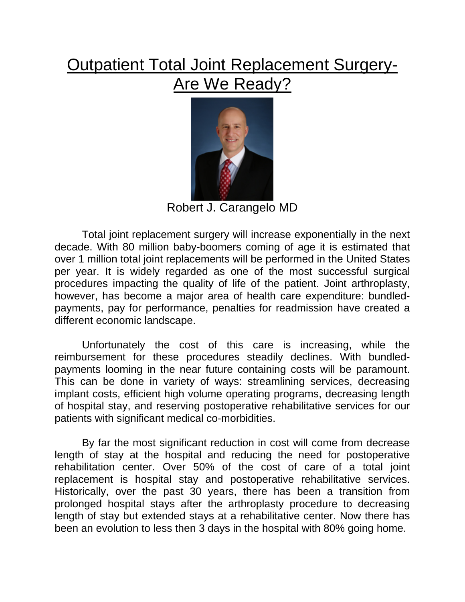## **Outpatient Total Joint Replacement Surgery-Are We Ready?**



Robert J. Carangelo MD

Total joint replacement surgery will increase exponentially in the next decade. With 80 million baby-boomers coming of age it is estimated that over 1 million total joint replacements will be performed in the United States per year. It is widely regarded as one of the most successful surgical procedures impacting the quality of life of the patient. Joint arthroplasty, however, has become a major area of health care expenditure: bundledpayments, pay for performance, penalties for readmission have created a different economic landscape.

 Unfortunately the cost of this care is increasing, while the reimbursement for these procedures steadily declines. With bundledpayments looming in the near future containing costs will be paramount. This can be done in variety of ways: streamlining services, decreasing implant costs, efficient high volume operating programs, decreasing length of hospital stay, and reserving postoperative rehabilitative services for our patients with significant medical co-morbidities.

 By far the most significant reduction in cost will come from decrease length of stay at the hospital and reducing the need for postoperative rehabilitation center. Over 50% of the cost of care of a total joint replacement is hospital stay and postoperative rehabilitative services. Historically, over the past 30 years, there has been a transition from prolonged hospital stays after the arthroplasty procedure to decreasing length of stay but extended stays at a rehabilitative center. Now there has been an evolution to less then 3 days in the hospital with 80% going home.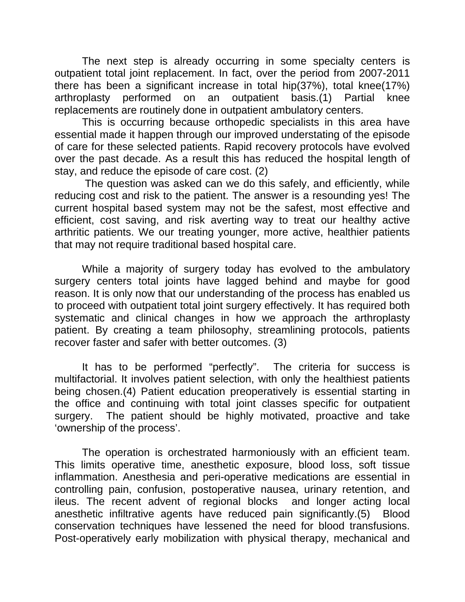The next step is already occurring in some specialty centers is outpatient total joint replacement. In fact, over the period from 2007-2011 there has been a significant increase in total hip(37%), total knee(17%) arthroplasty performed on an outpatient basis.(1) Partial knee replacements are routinely done in outpatient ambulatory centers.

 This is occurring because orthopedic specialists in this area have essential made it happen through our improved understating of the episode of care for these selected patients. Rapid recovery protocols have evolved over the past decade. As a result this has reduced the hospital length of stay, and reduce the episode of care cost. (2)

 The question was asked can we do this safely, and efficiently, while reducing cost and risk to the patient. The answer is a resounding yes! The current hospital based system may not be the safest, most effective and efficient, cost saving, and risk averting way to treat our healthy active arthritic patients. We our treating younger, more active, healthier patients that may not require traditional based hospital care.

 While a majority of surgery today has evolved to the ambulatory surgery centers total joints have lagged behind and maybe for good reason. It is only now that our understanding of the process has enabled us to proceed with outpatient total joint surgery effectively. It has required both systematic and clinical changes in how we approach the arthroplasty patient. By creating a team philosophy, streamlining protocols, patients recover faster and safer with better outcomes. (3)

 It has to be performed "perfectly". The criteria for success is multifactorial. It involves patient selection, with only the healthiest patients being chosen.(4) Patient education preoperatively is essential starting in the office and continuing with total joint classes specific for outpatient surgery. The patient should be highly motivated, proactive and take 'ownership of the process'.

 The operation is orchestrated harmoniously with an efficient team. This limits operative time, anesthetic exposure, blood loss, soft tissue inflammation. Anesthesia and peri-operative medications are essential in controlling pain, confusion, postoperative nausea, urinary retention, and ileus. The recent advent of regional blocks and longer acting local anesthetic infiltrative agents have reduced pain significantly.(5) Blood conservation techniques have lessened the need for blood transfusions. Post-operatively early mobilization with physical therapy, mechanical and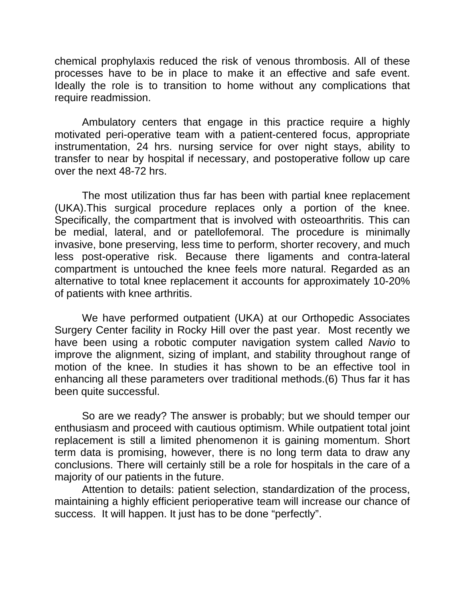chemical prophylaxis reduced the risk of venous thrombosis. All of these processes have to be in place to make it an effective and safe event. Ideally the role is to transition to home without any complications that require readmission.

 Ambulatory centers that engage in this practice require a highly motivated peri-operative team with a patient-centered focus, appropriate instrumentation, 24 hrs. nursing service for over night stays, ability to transfer to near by hospital if necessary, and postoperative follow up care over the next 48-72 hrs.

 The most utilization thus far has been with partial knee replacement (UKA).This surgical procedure replaces only a portion of the knee. Specifically, the compartment that is involved with osteoarthritis. This can be medial, lateral, and or patellofemoral. The procedure is minimally invasive, bone preserving, less time to perform, shorter recovery, and much less post-operative risk. Because there ligaments and contra-lateral compartment is untouched the knee feels more natural. Regarded as an alternative to total knee replacement it accounts for approximately 10-20% of patients with knee arthritis.

 We have performed outpatient (UKA) at our Orthopedic Associates Surgery Center facility in Rocky Hill over the past year. Most recently we have been using a robotic computer navigation system called *Navio* to improve the alignment, sizing of implant, and stability throughout range of motion of the knee. In studies it has shown to be an effective tool in enhancing all these parameters over traditional methods.(6) Thus far it has been quite successful.

 So are we ready? The answer is probably; but we should temper our enthusiasm and proceed with cautious optimism. While outpatient total joint replacement is still a limited phenomenon it is gaining momentum. Short term data is promising, however, there is no long term data to draw any conclusions. There will certainly still be a role for hospitals in the care of a majority of our patients in the future.

 Attention to details: patient selection, standardization of the process, maintaining a highly efficient perioperative team will increase our chance of success. It will happen. It just has to be done "perfectly".